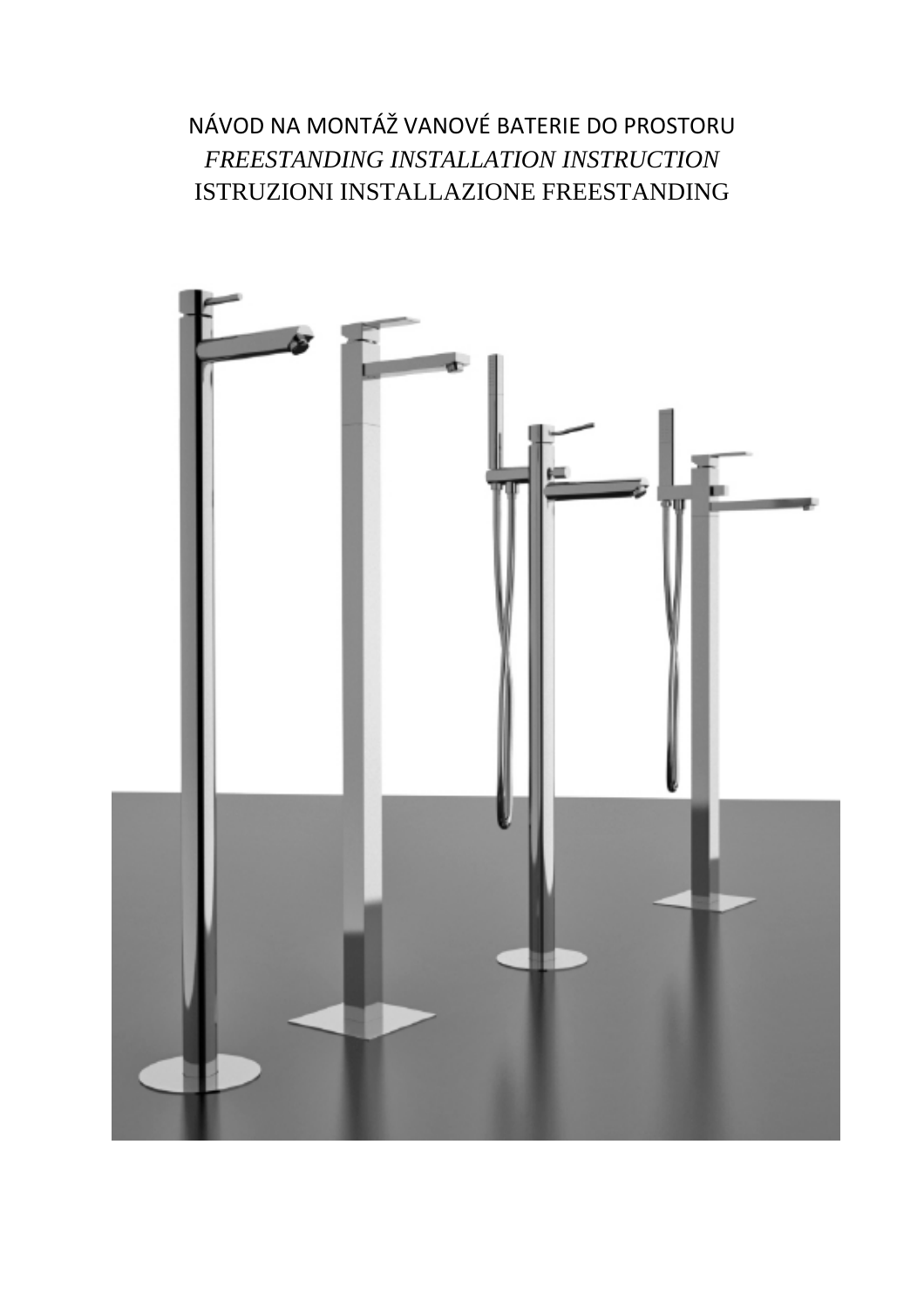NÁVOD NA MONTÁŽ VANOVÉ BATERIE DO PROSTORU *FREESTANDING INSTALLATION INSTRUCTION* ISTRUZIONI INSTALLAZIONE FREESTANDING

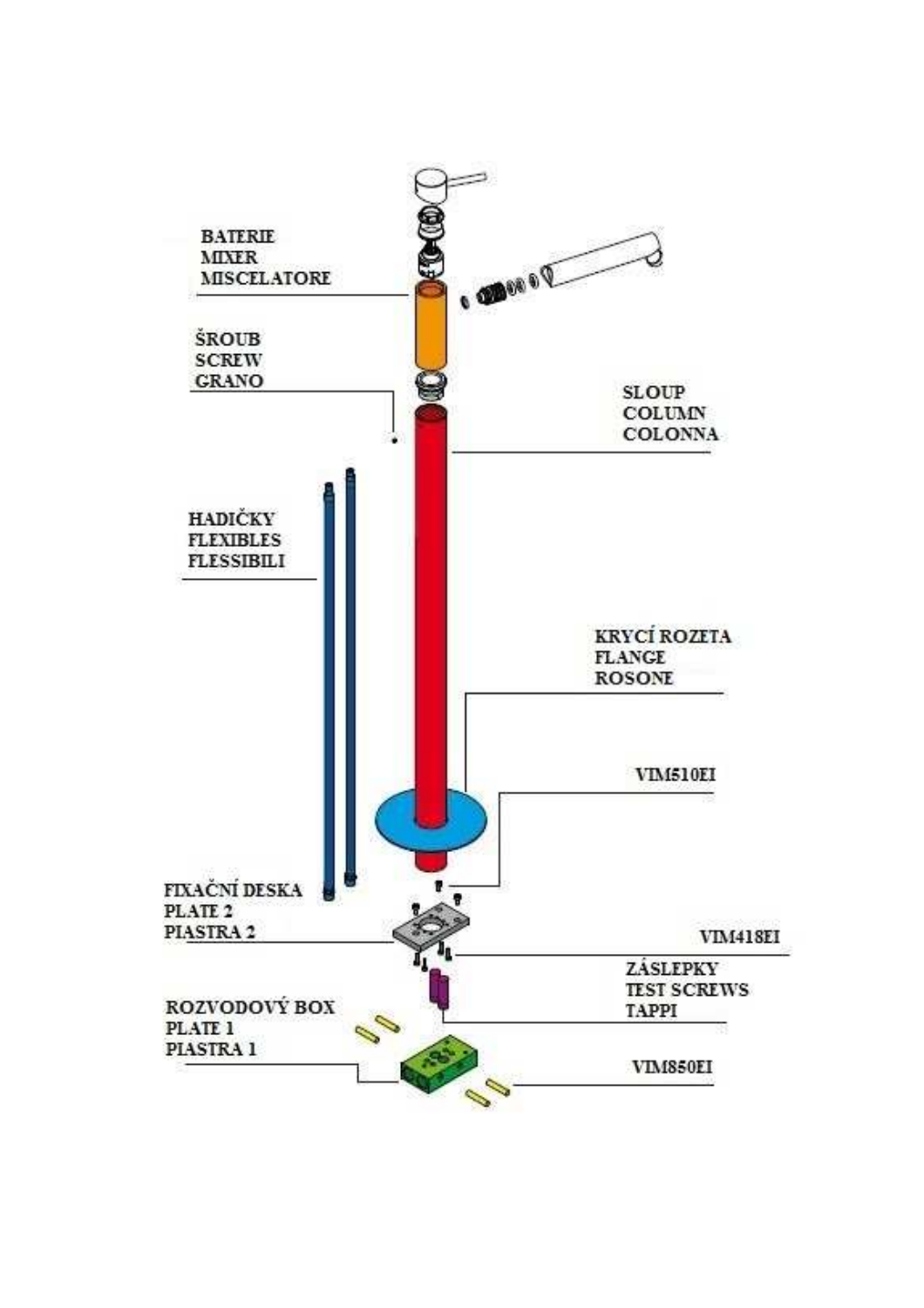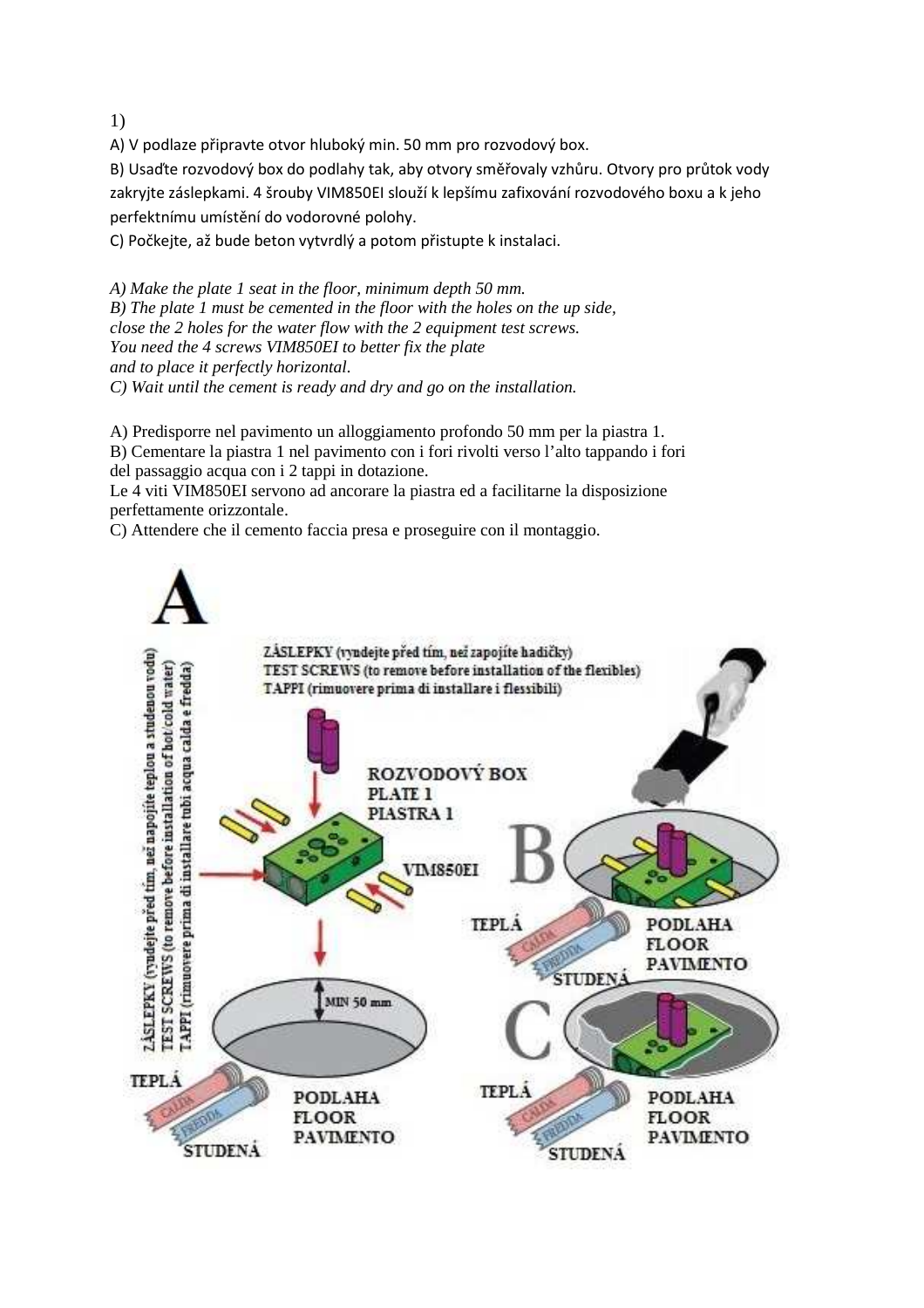1)

A) V podlaze připravte otvor hluboký min. 50 mm pro rozvodový box.

B) Usaďte rozvodový box do podlahy tak, aby otvory směřovaly vzhůru. Otvory pro průtok vody zakryjte záslepkami. 4 šrouby VIM850EI slouží k lepšímu zafixování rozvodového boxu a k jeho perfektnímu umístění do vodorovné polohy.

C) Počkejte, až bude beton vytvrdlý a potom přistupte k instalaci.

*A) Make the plate 1 seat in the floor, minimum depth 50 mm. B) The plate 1 must be cemented in the floor with the holes on the up side, close the 2 holes for the water flow with the 2 equipment test screws. You need the 4 screws VIM850EI to better fix the plate and to place it perfectly horizontal. C) Wait until the cement is ready and dry and go on the installation.* 

A) Predisporre nel pavimento un alloggiamento profondo 50 mm per la piastra 1.

B) Cementare la piastra 1 nel pavimento con i fori rivolti verso l'alto tappando i fori del passaggio acqua con i 2 tappi in dotazione.

Le 4 viti VIM850EI servono ad ancorare la piastra ed a facilitarne la disposizione perfettamente orizzontale.

C) Attendere che il cemento faccia presa e proseguire con il montaggio.

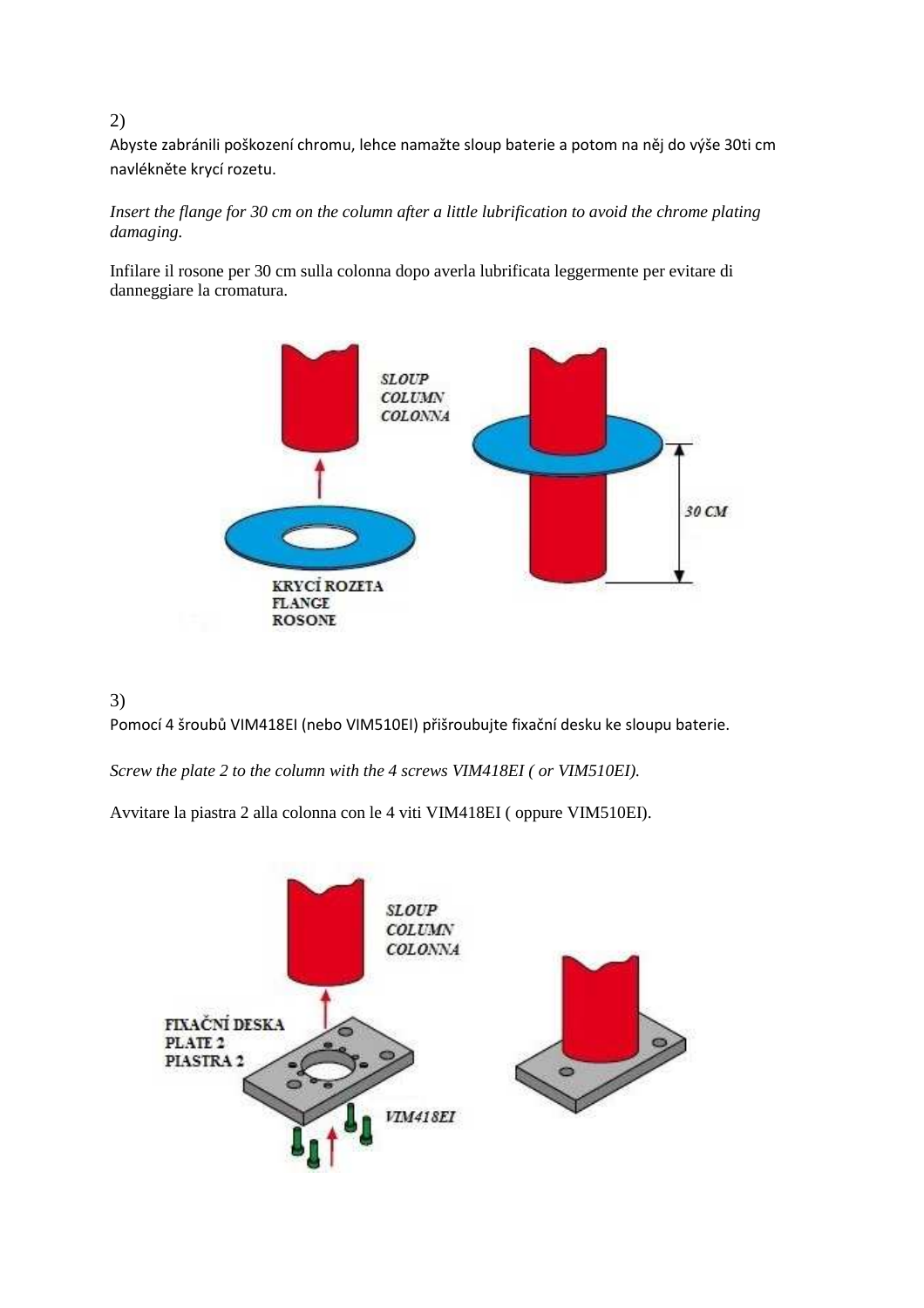## 2)

Abyste zabránili poškození chromu, lehce namažte sloup baterie a potom na něj do výše 30ti cm navlékněte krycí rozetu.

### *Insert the flange for 30 cm on the column after a little lubrification to avoid the chrome plating damaging.*

Infilare il rosone per 30 cm sulla colonna dopo averla lubrificata leggermente per evitare di danneggiare la cromatura.



# 3)

Pomocí 4 šroubů VIM418EI (nebo VIM510EI) přišroubujte fixační desku ke sloupu baterie.

*Screw the plate 2 to the column with the 4 screws VIM418EI ( or VIM510EI).*

Avvitare la piastra 2 alla colonna con le 4 viti VIM418EI ( oppure VIM510EI).

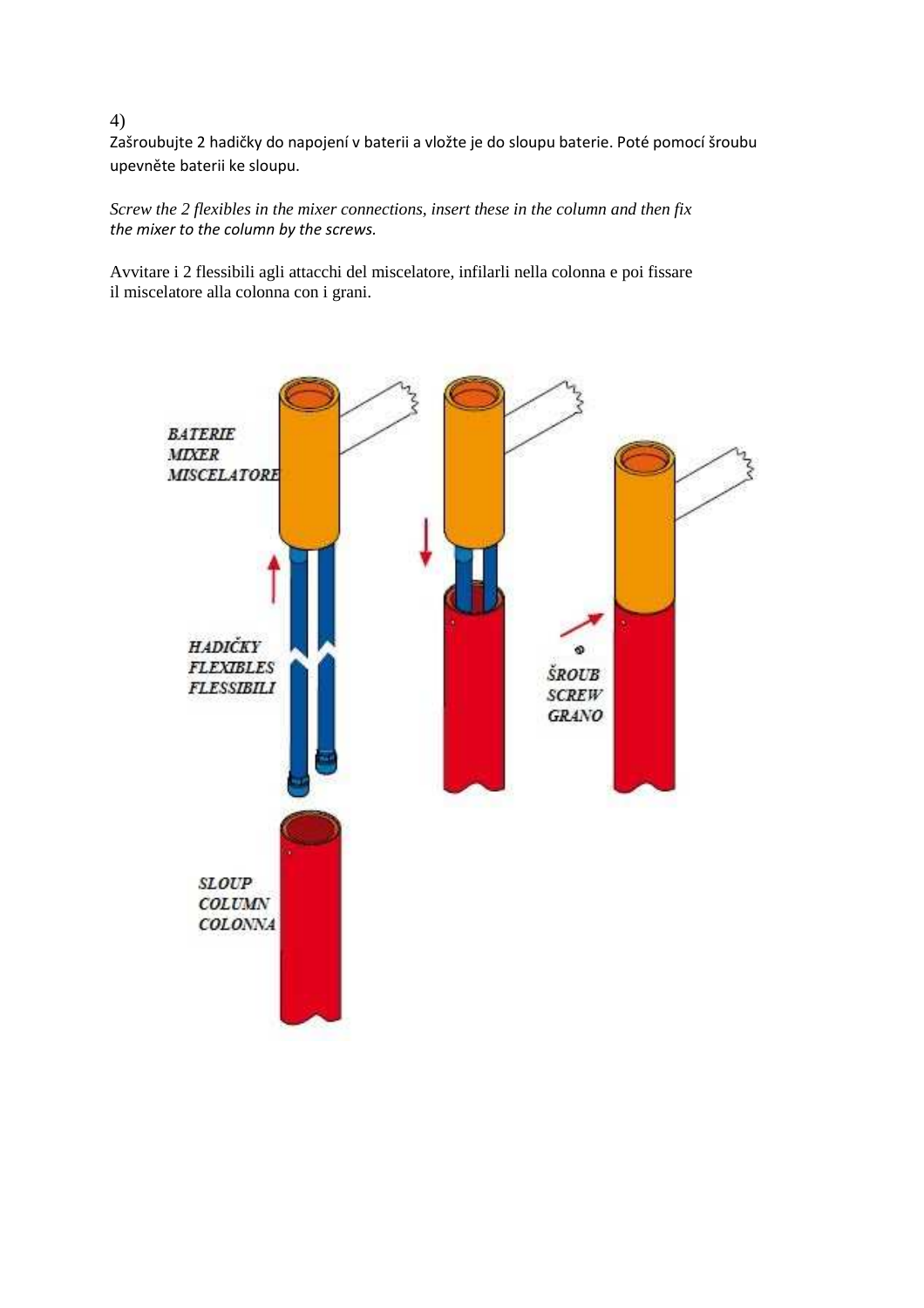Zašroubujte 2 hadičky do napojení v baterii a vložte je do sloupu baterie. Poté pomocí šroubu upevněte baterii ke sloupu.

*Screw the 2 flexibles in the mixer connections, insert these in the column and then fix the mixer to the column by the screws.*

Avvitare i 2 flessibili agli attacchi del miscelatore, infilarli nella colonna e poi fissare il miscelatore alla colonna con i grani.



#### 4)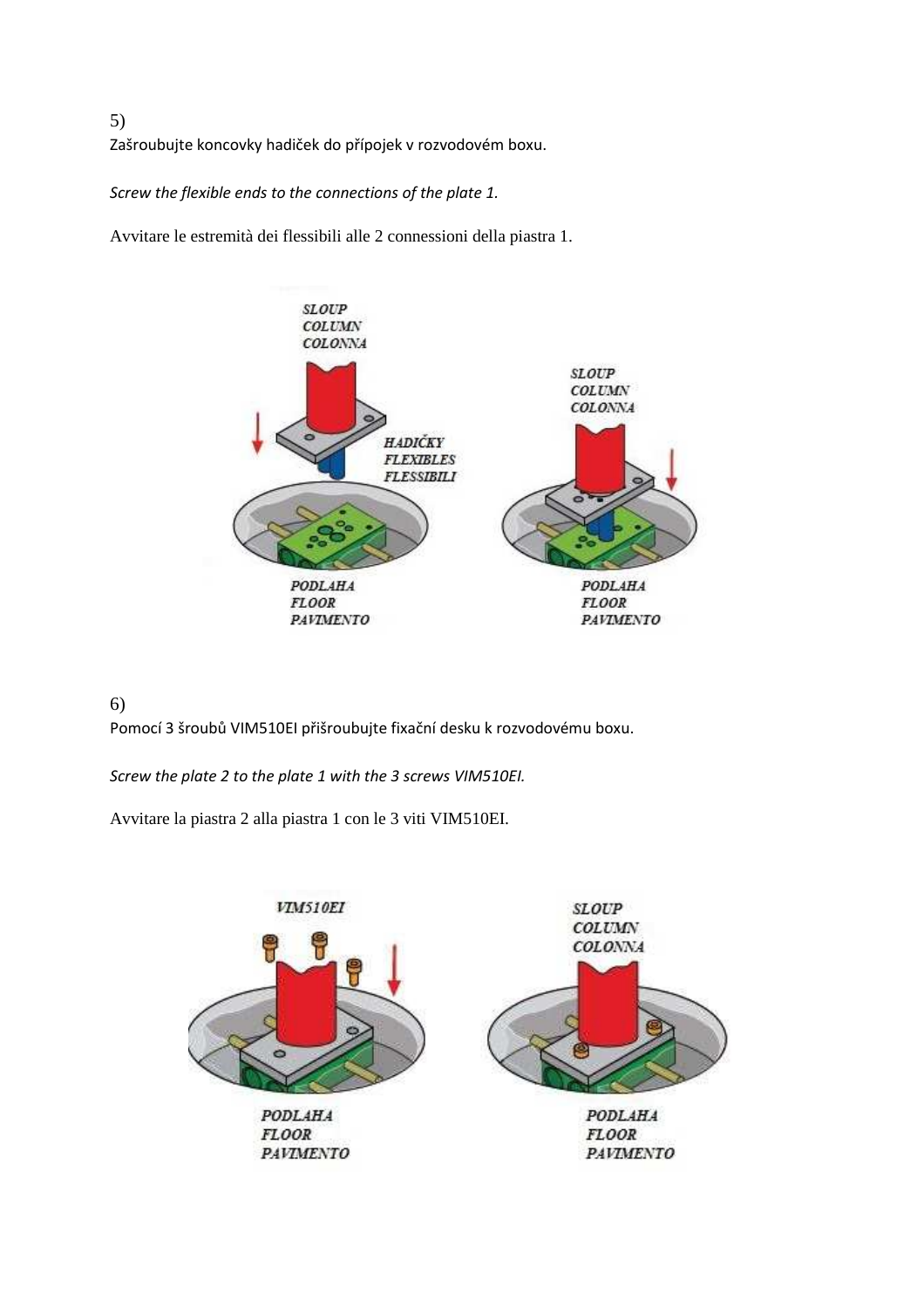5) Zašroubujte koncovky hadiček do přípojek v rozvodovém boxu.

*Screw the flexible ends to the connections of the plate 1.*

Avvitare le estremità dei flessibili alle 2 connessioni della piastra 1.



# 6)

Pomocí 3 šroubů VIM510EI přišroubujte fixační desku k rozvodovému boxu.

*Screw the plate 2 to the plate 1 with the 3 screws VIM510EI.*

Avvitare la piastra 2 alla piastra 1 con le 3 viti VIM510EI.